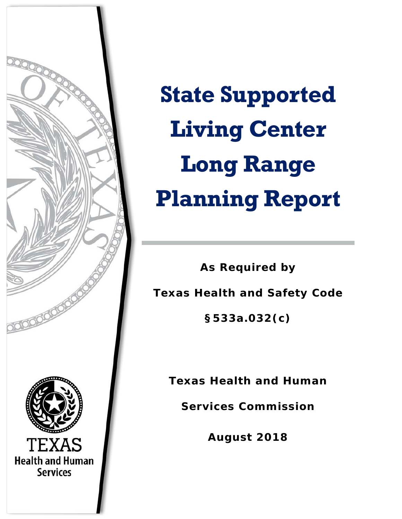

**State Supported Living Center Long Range Planning Report** 

**As Required by Texas Health and Safety Code §533a.032(c)**

**Texas Health and Human** 

**Services Commission**

**August 2018**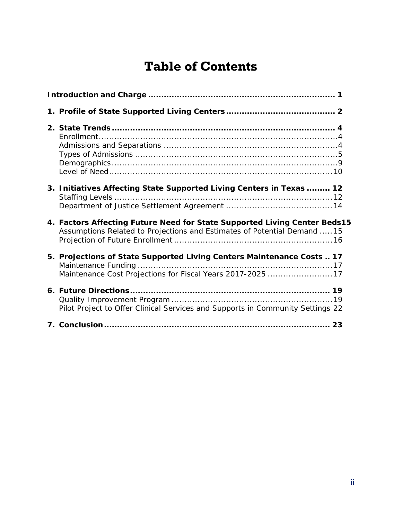# **Table of Contents**

| 3. Initiatives Affecting State Supported Living Centers in Texas  12                                                                                  |
|-------------------------------------------------------------------------------------------------------------------------------------------------------|
| 4. Factors Affecting Future Need for State Supported Living Center Beds15<br>Assumptions Related to Projections and Estimates of Potential Demand  15 |
| 5. Projections of State Supported Living Centers Maintenance Costs  17<br>Maintenance Cost Projections for Fiscal Years 2017-2025 17                  |
| Pilot Project to Offer Clinical Services and Supports in Community Settings 22                                                                        |
|                                                                                                                                                       |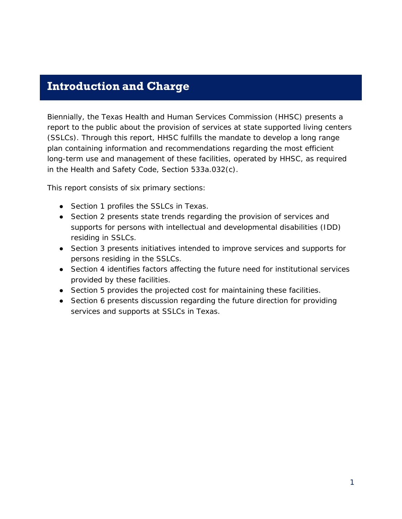### <span id="page-2-0"></span>**Introduction and Charge**

Biennially, the Texas Health and Human Services Commission (HHSC) presents a report to the public about the provision of services at state supported living centers (SSLCs). Through this report, HHSC fulfills the mandate to develop a long range plan containing information and recommendations regarding the most efficient long-term use and management of these facilities, operated by HHSC, as required in the Health and Safety Code, Section 533a.032(c).

This report consists of six primary sections:

- Section 1 profiles the SSLCs in Texas.
- Section 2 presents state trends regarding the provision of services and supports for persons with intellectual and developmental disabilities (IDD) residing in SSLCs.
- Section 3 presents initiatives intended to improve services and supports for persons residing in the SSLCs.
- Section 4 identifies factors affecting the future need for institutional services provided by these facilities.
- Section 5 provides the projected cost for maintaining these facilities.
- Section 6 presents discussion regarding the future direction for providing services and supports at SSLCs in Texas.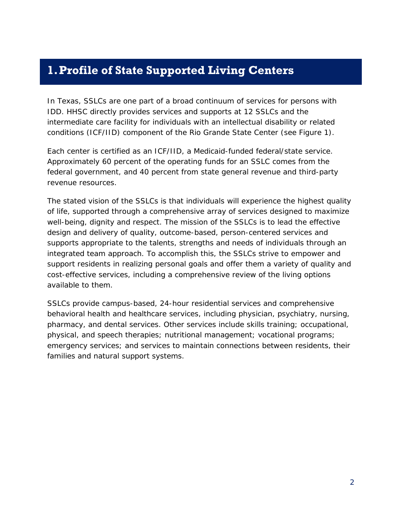### <span id="page-3-0"></span>**1.Profile of State Supported Living Centers**

In Texas, SSLCs are one part of a broad continuum of services for persons with IDD. HHSC directly provides services and supports at 12 SSLCs and the intermediate care facility for individuals with an intellectual disability or related conditions (ICF/IID) component of the Rio Grande State Center (see Figure 1).

Each center is certified as an ICF/IID, a Medicaid-funded federal/state service. Approximately 60 percent of the operating funds for an SSLC comes from the federal government, and 40 percent from state general revenue and third-party revenue resources.

The stated vision of the SSLCs is that individuals will experience the highest quality of life, supported through a comprehensive array of services designed to maximize well-being, dignity and respect. The mission of the SSLCs is to lead the effective design and delivery of quality, outcome-based, person-centered services and supports appropriate to the talents, strengths and needs of individuals through an integrated team approach. To accomplish this, the SSLCs strive to empower and support residents in realizing personal goals and offer them a variety of quality and cost-effective services, including a comprehensive review of the living options available to them.

SSLCs provide campus-based, 24-hour residential services and comprehensive behavioral health and healthcare services, including physician, psychiatry, nursing, pharmacy, and dental services. Other services include skills training; occupational, physical, and speech therapies; nutritional management; vocational programs; emergency services; and services to maintain connections between residents, their families and natural support systems.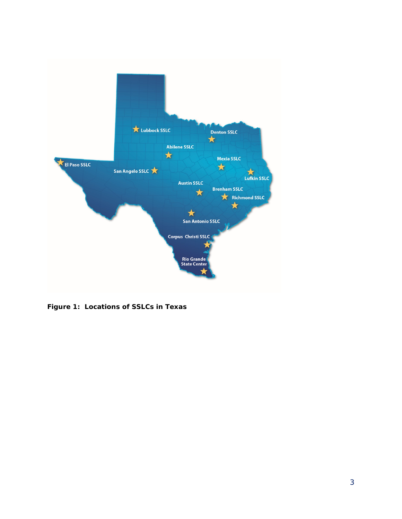

**Figure 1: Locations of SSLCs in Texas**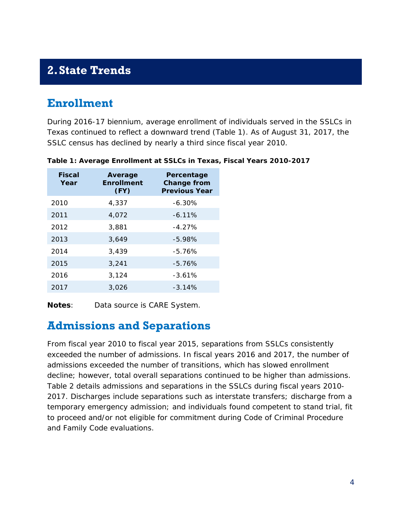## <span id="page-5-0"></span>**2.State Trends**

### <span id="page-5-1"></span>**Enrollment**

During 2016-17 biennium, average enrollment of individuals served in the SSLCs in Texas continued to reflect a downward trend (Table 1). As of August 31, 2017, the SSLC census has declined by nearly a third since fiscal year 2010.

| <b>Fiscal</b><br>Year | Average<br><b>Enrollment</b><br>(FY) | Percentage<br><b>Change from</b><br><b>Previous Year</b> |
|-----------------------|--------------------------------------|----------------------------------------------------------|
| 2010                  | 4,337                                | $-6.30%$                                                 |
| 2011                  | 4,072                                | $-6.11\%$                                                |
| 2012                  | 3,881                                | $-4.27\%$                                                |
| 2013                  | 3,649                                | $-5.98%$                                                 |
| 2014                  | 3,439                                | $-5.76%$                                                 |
| 2015                  | 3,241                                | $-5.76%$                                                 |
| 2016                  | 3,124                                | $-3.61%$                                                 |
| 2017                  | 3,026                                | $-3.14%$                                                 |

**Table 1: Average Enrollment at SSLCs in Texas, Fiscal Years 2010-2017** 

**Notes**: Data source is CARE System.

#### <span id="page-5-2"></span>**Admissions and Separations**

From fiscal year 2010 to fiscal year 2015, separations from SSLCs consistently exceeded the number of admissions. In fiscal years 2016 and 2017, the number of admissions exceeded the number of transitions, which has slowed enrollment decline; however, total overall separations continued to be higher than admissions. Table 2 details admissions and separations in the SSLCs during fiscal years 2010- 2017. Discharges include separations such as interstate transfers; discharge from a temporary emergency admission; and individuals found competent to stand trial, fit to proceed and/or not eligible for commitment during Code of Criminal Procedure and Family Code evaluations.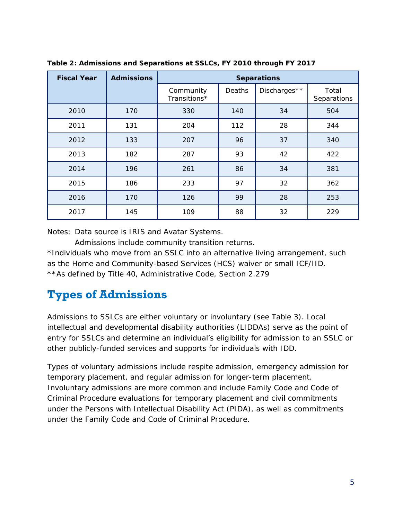| <b>Fiscal Year</b> | <b>Admissions</b> | <b>Separations</b>        |        |              |                      |  |
|--------------------|-------------------|---------------------------|--------|--------------|----------------------|--|
|                    |                   | Community<br>Transitions* | Deaths | Discharges** | Total<br>Separations |  |
| 2010               | 170               | 330                       | 140    | 34           | 504                  |  |
| 2011               | 131               | 204                       | 112    | 28           | 344                  |  |
| 2012               | 133               | 207                       | 96     | 37           | 340                  |  |
| 2013               | 182               | 287                       | 93     | 42           | 422                  |  |
| 2014               | 196               | 261                       | 86     | 34           | 381                  |  |
| 2015               | 186               | 233                       | 97     | 32           | 362                  |  |
| 2016               | 170               | 126                       | 99     | 28           | 253                  |  |
| 2017               | 145               | 109                       | 88     | 32           | 229                  |  |

**Table 2: Admissions and Separations at SSLCs, FY 2010 through FY 2017** 

Notes: Data source is IRIS and Avatar Systems.

Admissions include community transition returns.

\*Individuals who move from an SSLC into an alternative living arrangement, such as the Home and Community-based Services (HCS) waiver or small ICF/IID. \*\*As defined by Title 40, Administrative Code, Section 2.279

## <span id="page-6-0"></span>**Types of Admissions**

Admissions to SSLCs are either voluntary or involuntary (see Table 3). Local intellectual and developmental disability authorities (LIDDAs) serve as the point of entry for SSLCs and determine an individual's eligibility for admission to an SSLC or other publicly-funded services and supports for individuals with IDD.

Types of voluntary admissions include respite admission, emergency admission for temporary placement, and regular admission for longer-term placement. Involuntary admissions are more common and include Family Code and Code of Criminal Procedure evaluations for temporary placement and civil commitments under the Persons with Intellectual Disability Act (PIDA), as well as commitments under the Family Code and Code of Criminal Procedure.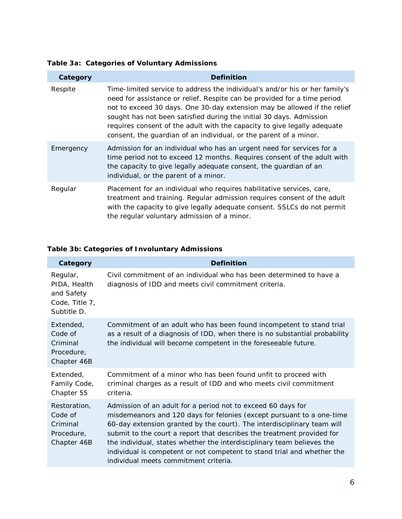**Table 3a: Categories of Voluntary Admissions** 

| Category  | <b>Definition</b>                                                                                                                                                                                                                                                                                                                                                                                                                                           |
|-----------|-------------------------------------------------------------------------------------------------------------------------------------------------------------------------------------------------------------------------------------------------------------------------------------------------------------------------------------------------------------------------------------------------------------------------------------------------------------|
| Respite   | Time-limited service to address the individual's and/or his or her family's<br>need for assistance or relief. Respite can be provided for a time period<br>not to exceed 30 days. One 30-day extension may be allowed if the relief<br>sought has not been satisfied during the initial 30 days. Admission<br>requires consent of the adult with the capacity to give legally adequate<br>consent, the guardian of an individual, or the parent of a minor. |
| Emergency | Admission for an individual who has an urgent need for services for a<br>time period not to exceed 12 months. Requires consent of the adult with<br>the capacity to give legally adequate consent, the guardian of an<br>individual, or the parent of a minor.                                                                                                                                                                                              |
| Regular   | Placement for an individual who requires habilitative services, care,<br>treatment and training. Regular admission requires consent of the adult<br>with the capacity to give legally adequate consent. SSLCs do not permit<br>the regular voluntary admission of a minor.                                                                                                                                                                                  |

#### **Table 3b: Categories of Involuntary Admissions**

| Category                                                                | <b>Definition</b>                                                                                                                                                                                                                                                                                                                                                                                                                                                                        |
|-------------------------------------------------------------------------|------------------------------------------------------------------------------------------------------------------------------------------------------------------------------------------------------------------------------------------------------------------------------------------------------------------------------------------------------------------------------------------------------------------------------------------------------------------------------------------|
| Regular,<br>PIDA, Health<br>and Safety<br>Code, Title 7,<br>Subtitle D. | Civil commitment of an individual who has been determined to have a<br>diagnosis of IDD and meets civil commitment criteria.                                                                                                                                                                                                                                                                                                                                                             |
| Extended,<br>Code of<br>Criminal<br>Procedure,<br>Chapter 46B           | Commitment of an adult who has been found incompetent to stand trial<br>as a result of a diagnosis of IDD, when there is no substantial probability<br>the individual will become competent in the foreseeable future.                                                                                                                                                                                                                                                                   |
| Extended,<br>Family Code,<br>Chapter 55                                 | Commitment of a minor who has been found unfit to proceed with<br>criminal charges as a result of IDD and who meets civil commitment<br>criteria.                                                                                                                                                                                                                                                                                                                                        |
| Restoration,<br>Code of<br>Criminal<br>Procedure,<br>Chapter 46B        | Admission of an adult for a period not to exceed 60 days for<br>misdemeanors and 120 days for felonies (except pursuant to a one-time<br>60-day extension granted by the court). The interdisciplinary team will<br>submit to the court a report that describes the treatment provided for<br>the individual, states whether the interdisciplinary team believes the<br>individual is competent or not competent to stand trial and whether the<br>individual meets commitment criteria. |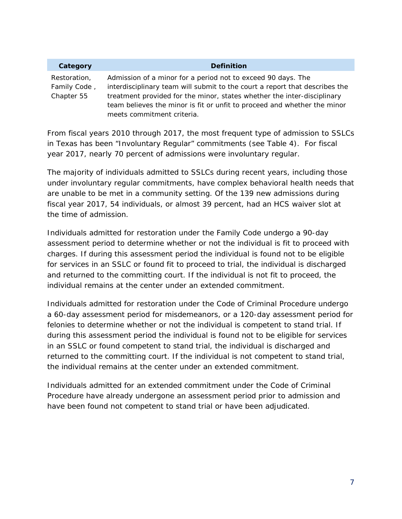| Category                                                                                    | <b>Definition</b>                                                        |  |  |  |  |
|---------------------------------------------------------------------------------------------|--------------------------------------------------------------------------|--|--|--|--|
| Restoration,                                                                                | Admission of a minor for a period not to exceed 90 days. The             |  |  |  |  |
| Family Code,<br>interdisciplinary team will submit to the court a report that describes the |                                                                          |  |  |  |  |
| Chapter 55                                                                                  | treatment provided for the minor, states whether the inter-disciplinary  |  |  |  |  |
|                                                                                             | team believes the minor is fit or unfit to proceed and whether the minor |  |  |  |  |
|                                                                                             | meets commitment criteria.                                               |  |  |  |  |

From fiscal years 2010 through 2017, the most frequent type of admission to SSLCs in Texas has been "Involuntary Regular" commitments (see Table 4). For fiscal year 2017, nearly 70 percent of admissions were involuntary regular.

The majority of individuals admitted to SSLCs during recent years, including those under involuntary regular commitments, have complex behavioral health needs that are unable to be met in a community setting. Of the 139 new admissions during fiscal year 2017, 54 individuals, or almost 39 percent, had an HCS waiver slot at the time of admission.

Individuals admitted for restoration under the Family Code undergo a 90-day assessment period to determine whether or not the individual is fit to proceed with charges. If during this assessment period the individual is found not to be eligible for services in an SSLC or found fit to proceed to trial, the individual is discharged and returned to the committing court. If the individual is not fit to proceed, the individual remains at the center under an extended commitment.

Individuals admitted for restoration under the Code of Criminal Procedure undergo a 60-day assessment period for misdemeanors, or a 120-day assessment period for felonies to determine whether or not the individual is competent to stand trial. If during this assessment period the individual is found not to be eligible for services in an SSLC or found competent to stand trial, the individual is discharged and returned to the committing court. If the individual is not competent to stand trial, the individual remains at the center under an extended commitment.

Individuals admitted for an extended commitment under the Code of Criminal Procedure have already undergone an assessment period prior to admission and have been found not competent to stand trial or have been adjudicated.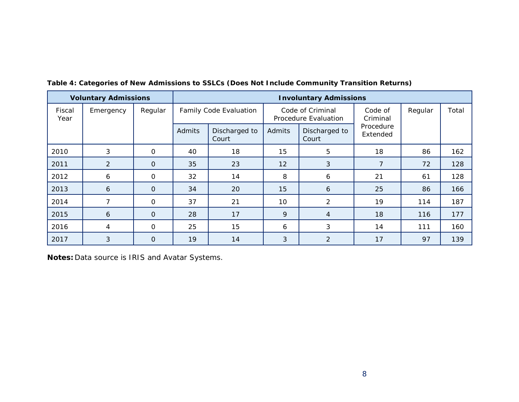| <b>Voluntary Admissions</b> |                | <b>Involuntary Admissions</b> |        |                        |                                          |                        |                       |     |                     |         |       |
|-----------------------------|----------------|-------------------------------|--------|------------------------|------------------------------------------|------------------------|-----------------------|-----|---------------------|---------|-------|
| Fiscal<br>Year              | Emergency      | Regular                       |        | Family Code Evaluation | Code of Criminal<br>Procedure Evaluation |                        |                       |     | Code of<br>Criminal | Regular | Total |
|                             |                |                               | Admits | Discharged to<br>Court | Admits                                   | Discharged to<br>Court | Procedure<br>Extended |     |                     |         |       |
| 2010                        | 3              | $\Omega$                      | 40     | 18                     | 15                                       | 5                      | 18                    | 86  | 162                 |         |       |
| 2011                        | $\overline{2}$ | $\Omega$                      | 35     | 23                     | 12                                       | 3                      |                       | 72  | 128                 |         |       |
| 2012                        | 6              | $\mathbf 0$                   | 32     | 14                     | 8                                        | 6                      | 21                    | 61  | 128                 |         |       |
| 2013                        | 6              | $\overline{0}$                | 34     | 20                     | 15                                       | 6                      | 25                    | 86  | 166                 |         |       |
| 2014                        | 7              | $\Omega$                      | 37     | 21                     | 10                                       | 2                      | 19                    | 114 | 187                 |         |       |
| 2015                        | 6              | $\overline{O}$                | 28     | 17                     | 9                                        | $\overline{4}$         | 18                    | 116 | 177                 |         |       |
| 2016                        | $\overline{4}$ | $\mathbf 0$                   | 25     | 15                     | 6                                        | 3                      | 14                    | 111 | 160                 |         |       |
| 2017                        | 3              | $\Omega$                      | 19     | 14                     | 3                                        | $\overline{2}$         | 17                    | 97  | 139                 |         |       |

**Table 4: Categories of New Admissions to SSLCs (Does Not Include Community Transition Returns)** 

**Notes:** Data source is IRIS and Avatar Systems.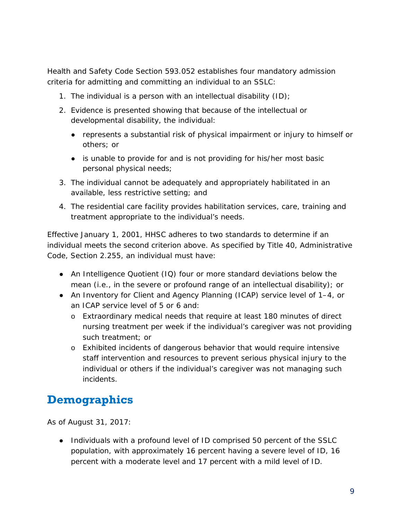Health and Safety Code Section 593.052 establishes four mandatory admission criteria for admitting and committing an individual to an SSLC:

- 1. The individual is a person with an intellectual disability  $(1D)$ ;
- 2. Evidence is presented showing that because of the intellectual or developmental disability, the individual:
	- represents a substantial risk of physical impairment or injury to himself or others; or
	- is unable to provide for and is not providing for his/her most basic personal physical needs;
- 3. The individual cannot be adequately and appropriately habilitated in an available, less restrictive setting; and
- 4. The residential care facility provides habilitation services, care, training and treatment appropriate to the individual's needs.

Effective January 1, 2001, HHSC adheres to two standards to determine if an individual meets the second criterion above. As specified by Title 40, Administrative Code, Section 2.255, an individual must have:

- An Intelligence Quotient (IQ) four or more standard deviations below the mean (i.e., in the severe or profound range of an intellectual disability); or
- An Inventory for Client and Agency Planning (ICAP) service level of 1–4, or an ICAP service level of 5 or 6 and:
	- o Extraordinary medical needs that require at least 180 minutes of direct nursing treatment per week if the individual's caregiver was not providing such treatment; or
	- o Exhibited incidents of dangerous behavior that would require intensive staff intervention and resources to prevent serious physical injury to the individual or others if the individual's caregiver was not managing such incidents.

## <span id="page-10-0"></span>**Demographics**

As of August 31, 2017:

● Individuals with a profound level of ID comprised 50 percent of the SSLC population, with approximately 16 percent having a severe level of ID, 16 percent with a moderate level and 17 percent with a mild level of ID.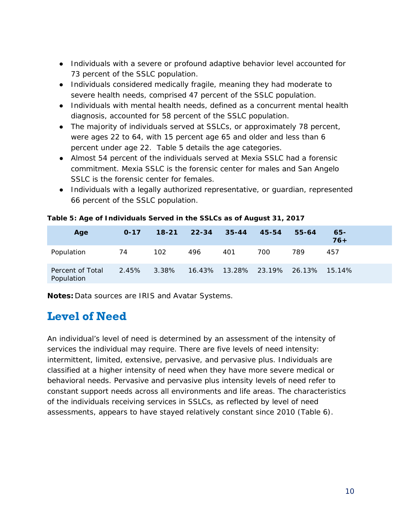- Individuals with a severe or profound adaptive behavior level accounted for 73 percent of the SSLC population.
- Individuals considered medically fragile, meaning they had moderate to severe health needs, comprised 47 percent of the SSLC population.
- Individuals with mental health needs, defined as a concurrent mental health diagnosis, accounted for 58 percent of the SSLC population.
- The majority of individuals served at SSLCs, or approximately 78 percent, were ages 22 to 64, with 15 percent age 65 and older and less than 6 percent under age 22. Table 5 details the age categories.
- Almost 54 percent of the individuals served at Mexia SSLC had a forensic commitment. Mexia SSLC is the forensic center for males and San Angelo SSLC is the forensic center for females.
- Individuals with a legally authorized representative, or guardian, represented 66 percent of the SSLC population.

| Age                            | $O - 17$ | $18 - 21$ | $22 - 34$ | $35 - 44$                      | 45-54 | 55-64 | $65 -$<br>$76+$ |
|--------------------------------|----------|-----------|-----------|--------------------------------|-------|-------|-----------------|
| Population                     | 74       | 102       | 496       | 401                            | 700   | 789   | 457             |
| Percent of Total<br>Population | 2.45%    | 3.38%     |           | 16.43%  13.28%  23.19%  26.13% |       |       | 15.14%          |

#### **Table 5: Age of Individuals Served in the SSLCs as of August 31, 2017**

**Notes:** Data sources are IRIS and Avatar Systems.

## <span id="page-11-0"></span>**Level of Need**

An individual's level of need is determined by an assessment of the intensity of services the individual may require. There are five levels of need intensity: intermittent, limited, extensive, pervasive, and pervasive plus. Individuals are classified at a higher intensity of need when they have more severe medical or behavioral needs. Pervasive and pervasive plus intensity levels of need refer to constant support needs across all environments and life areas. The characteristics of the individuals receiving services in SSLCs, as reflected by level of need assessments, appears to have stayed relatively constant since 2010 (Table 6).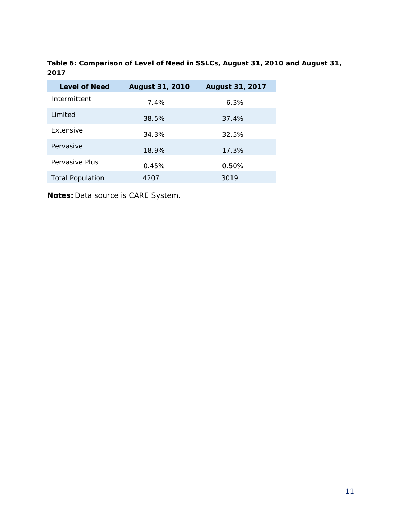**Table 6: Comparison of Level of Need in SSLCs, August 31, 2010 and August 31, 2017** 

| <b>Level of Need</b>    | <b>August 31, 2010</b> | <b>August 31, 2017</b> |
|-------------------------|------------------------|------------------------|
| Intermittent            | $7.4\%$                | 6.3%                   |
| Limited                 | 38.5%                  | 37.4%                  |
| <b>Extensive</b>        | 34.3%                  | 32.5%                  |
| Pervasive               | 18.9%                  | 17.3%                  |
| Pervasive Plus          | 0.45%                  | 0.50%                  |
| <b>Total Population</b> | 4207                   | 3019                   |

**Notes:** Data source is CARE System.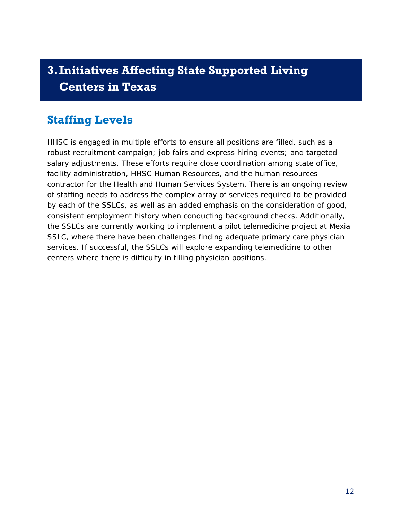## <span id="page-13-0"></span>**3.Initiatives Affecting State Supported Living Centers in Texas**

## <span id="page-13-1"></span>**Staffing Levels**

HHSC is engaged in multiple efforts to ensure all positions are filled, such as a robust recruitment campaign; job fairs and express hiring events; and targeted salary adjustments. These efforts require close coordination among state office, facility administration, HHSC Human Resources, and the human resources contractor for the Health and Human Services System. There is an ongoing review of staffing needs to address the complex array of services required to be provided by each of the SSLCs, as well as an added emphasis on the consideration of good, consistent employment history when conducting background checks. Additionally, the SSLCs are currently working to implement a pilot telemedicine project at Mexia SSLC, where there have been challenges finding adequate primary care physician services. If successful, the SSLCs will explore expanding telemedicine to other centers where there is difficulty in filling physician positions.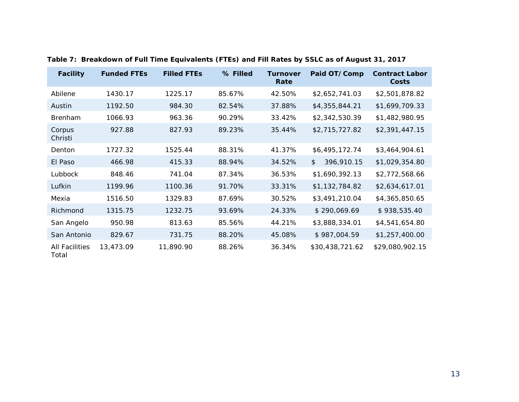| <b>Facility</b>                | <b>Funded FTEs</b> | <b>Filled FTEs</b> | % Filled | <b>Turnover</b><br>Rate | Paid OT/Comp     | <b>Contract Labor</b><br><b>Costs</b> |
|--------------------------------|--------------------|--------------------|----------|-------------------------|------------------|---------------------------------------|
| Abilene                        | 1430.17            | 1225.17            | 85.67%   | 42.50%                  | \$2,652,741.03   | \$2,501,878.82                        |
| Austin                         | 1192.50            | 984.30             | 82.54%   | 37.88%                  | \$4,355,844.21   | \$1,699,709.33                        |
| <b>Brenham</b>                 | 1066.93            | 963.36             | 90.29%   | 33.42%                  | \$2,342,530.39   | \$1,482,980.95                        |
| Corpus<br>Christi              | 927.88             | 827.93             | 89.23%   | 35.44%                  | \$2,715,727.82   | \$2,391,447.15                        |
| Denton                         | 1727.32            | 1525.44            | 88.31%   | 41.37%                  | \$6,495,172.74   | \$3,464,904.61                        |
| El Paso                        | 466.98             | 415.33             | 88.94%   | 34.52%                  | 396,910.15<br>\$ | \$1,029,354.80                        |
| Lubbock                        | 848.46             | 741.04             | 87.34%   | 36.53%                  | \$1,690,392.13   | \$2,772,568.66                        |
| Lufkin                         | 1199.96            | 1100.36            | 91.70%   | 33.31%                  | \$1,132,784.82   | \$2,634,617.01                        |
| Mexia                          | 1516.50            | 1329.83            | 87.69%   | 30.52%                  | \$3,491,210.04   | \$4,365,850.65                        |
| Richmond                       | 1315.75            | 1232.75            | 93.69%   | 24.33%                  | \$290,069.69     | \$938,535.40                          |
| San Angelo                     | 950.98             | 813.63             | 85.56%   | 44.21%                  | \$3,888,334.01   | \$4,541,654.80                        |
| San Antonio                    | 829.67             | 731.75             | 88.20%   | 45.08%                  | \$987,004.59     | \$1,257,400.00                        |
| <b>All Facilities</b><br>Total | 13,473.09          | 11,890.90          | 88.26%   | 36.34%                  | \$30,438,721.62  | \$29,080,902.15                       |

**Table 7: Breakdown of Full Time Equivalents (FTEs) and Fill Rates by SSLC as of August 31, 2017**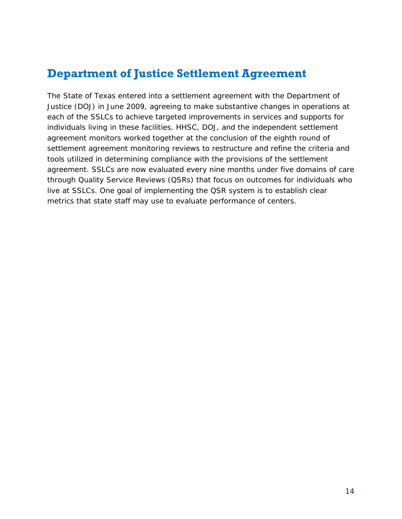## <span id="page-15-0"></span>**Department of Justice Settlement Agreement**

The State of Texas entered into a settlement agreement with the Department of Justice (DOJ) in June 2009, agreeing to make substantive changes in operations at each of the SSLCs to achieve targeted improvements in services and supports for individuals living in these facilities. HHSC, DOJ, and the independent settlement agreement monitors worked together at the conclusion of the eighth round of settlement agreement monitoring reviews to restructure and refine the criteria and tools utilized in determining compliance with the provisions of the settlement agreement. SSLCs are now evaluated every nine months under five domains of care through Quality Service Reviews (QSRs) that focus on outcomes for individuals who live at SSLCs. One goal of implementing the QSR system is to establish clear metrics that state staff may use to evaluate performance of centers.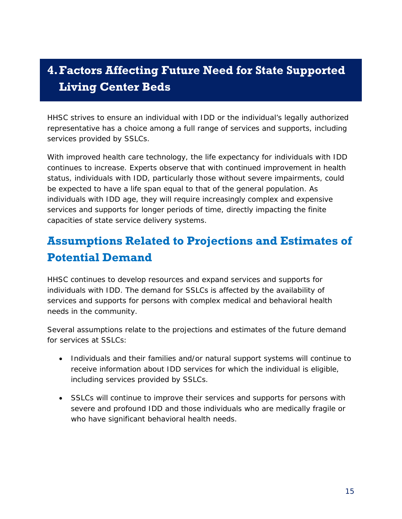## <span id="page-16-0"></span>**4.Factors Affecting Future Need for State Supported Living Center Beds**

HHSC strives to ensure an individual with IDD or the individual's legally authorized representative has a choice among a full range of services and supports, including services provided by SSLCs.

With improved health care technology, the life expectancy for individuals with IDD continues to increase. Experts observe that with continued improvement in health status, individuals with IDD, particularly those without severe impairments, could be expected to have a life span equal to that of the general population. As individuals with IDD age, they will require increasingly complex and expensive services and supports for longer periods of time, directly impacting the finite capacities of state service delivery systems.

## <span id="page-16-1"></span>**Assumptions Related to Projections and Estimates of Potential Demand**

HHSC continues to develop resources and expand services and supports for individuals with IDD. The demand for SSLCs is affected by the availability of services and supports for persons with complex medical and behavioral health needs in the community.

Several assumptions relate to the projections and estimates of the future demand for services at SSLCs:

- Individuals and their families and/or natural support systems will continue to receive information about IDD services for which the individual is eligible, including services provided by SSLCs.
- SSLCs will continue to improve their services and supports for persons with severe and profound IDD and those individuals who are medically fragile or who have significant behavioral health needs.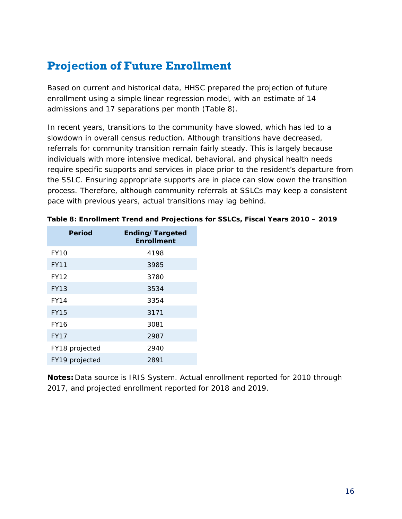## <span id="page-17-0"></span>**Projection of Future Enrollment**

Based on current and historical data, HHSC prepared the projection of future enrollment using a simple linear regression model, with an estimate of 14 admissions and 17 separations per month (Table 8).

In recent years, transitions to the community have slowed, which has led to a slowdown in overall census reduction. Although transitions have decreased, referrals for community transition remain fairly steady. This is largely because individuals with more intensive medical, behavioral, and physical health needs require specific supports and services in place prior to the resident's departure from the SSLC. Ensuring appropriate supports are in place can slow down the transition process. Therefore, although community referrals at SSLCs may keep a consistent pace with previous years, actual transitions may lag behind.

| <b>Period</b>  | Ending/Targeted<br><b>Enrollment</b> |
|----------------|--------------------------------------|
| <b>FY10</b>    | 4198                                 |
| <b>FY11</b>    | 3985                                 |
| <b>FY12</b>    | 3780                                 |
| <b>FY13</b>    | 3534                                 |
| <b>FY14</b>    | 3354                                 |
| <b>FY15</b>    | 3171                                 |
| <b>FY16</b>    | 3081                                 |
| <b>FY17</b>    | 2987                                 |
| FY18 projected | 2940                                 |
| FY19 projected | 2891                                 |

|  | Table 8: Enrollment Trend and Projections for SSLCs, Fiscal Years 2010 - 2019 |  |  |  |
|--|-------------------------------------------------------------------------------|--|--|--|
|--|-------------------------------------------------------------------------------|--|--|--|

**Notes:** Data source is IRIS System. Actual enrollment reported for 2010 through 2017, and projected enrollment reported for 2018 and 2019.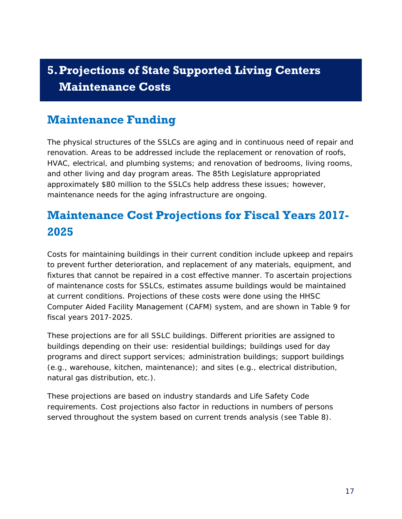# <span id="page-18-0"></span>**5.Projections of State Supported Living Centers Maintenance Costs**

## <span id="page-18-1"></span>**Maintenance Funding**

The physical structures of the SSLCs are aging and in continuous need of repair and renovation. Areas to be addressed include the replacement or renovation of roofs, HVAC, electrical, and plumbing systems; and renovation of bedrooms, living rooms, and other living and day program areas. The 85th Legislature appropriated approximately \$80 million to the SSLCs help address these issues; however, maintenance needs for the aging infrastructure are ongoing.

## <span id="page-18-2"></span>**Maintenance Cost Projections for Fiscal Years 2017- 2025**

Costs for maintaining buildings in their current condition include upkeep and repairs to prevent further deterioration, and replacement of any materials, equipment, and fixtures that cannot be repaired in a cost effective manner. To ascertain projections of maintenance costs for SSLCs, estimates assume buildings would be maintained at current conditions. Projections of these costs were done using the HHSC Computer Aided Facility Management (CAFM) system, and are shown in Table 9 for fiscal years 2017-2025.

These projections are for all SSLC buildings. Different priorities are assigned to buildings depending on their use: residential buildings; buildings used for day programs and direct support services; administration buildings; support buildings (e.g., warehouse, kitchen, maintenance); and sites (e.g., electrical distribution, natural gas distribution, etc.).

These projections are based on industry standards and Life Safety Code requirements. Cost projections also factor in reductions in numbers of persons served throughout the system based on current trends analysis (see Table 8).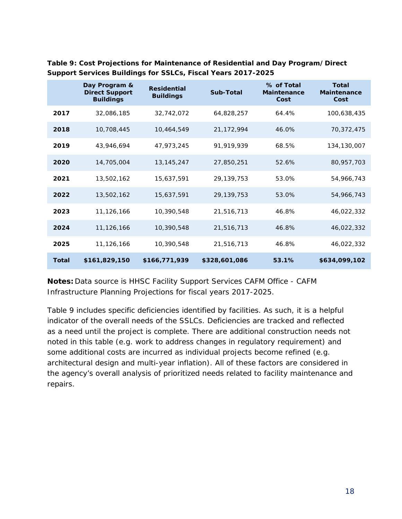|              | Day Program &<br><b>Direct Support</b><br><b>Buildings</b> | <b>Residential</b><br><b>Buildings</b> | Sub-Total     | % of Total<br><b>Maintenance</b><br>Cost | <b>Total</b><br><b>Maintenance</b><br>Cost |
|--------------|------------------------------------------------------------|----------------------------------------|---------------|------------------------------------------|--------------------------------------------|
| 2017         | 32,086,185                                                 | 32,742,072                             | 64,828,257    | 64.4%                                    | 100,638,435                                |
| 2018         | 10,708,445                                                 | 10,464,549                             | 21,172,994    | 46.0%                                    | 70,372,475                                 |
| 2019         | 43,946,694                                                 | 47,973,245                             | 91,919,939    | 68.5%                                    | 134,130,007                                |
| 2020         | 14,705,004                                                 | 13, 145, 247                           | 27,850,251    | 52.6%                                    | 80,957,703                                 |
| 2021         | 13,502,162                                                 | 15,637,591                             | 29,139,753    | 53.0%                                    | 54,966,743                                 |
| 2022         | 13,502,162                                                 | 15,637,591                             | 29, 139, 753  | 53.0%                                    | 54,966,743                                 |
| 2023         | 11,126,166                                                 | 10,390,548                             | 21,516,713    | 46.8%                                    | 46,022,332                                 |
| 2024         | 11,126,166                                                 | 10,390,548                             | 21,516,713    | 46.8%                                    | 46,022,332                                 |
| 2025         | 11,126,166                                                 | 10,390,548                             | 21,516,713    | 46.8%                                    | 46,022,332                                 |
| <b>Total</b> | \$161,829,150                                              | \$166,771,939                          | \$328,601,086 | 53.1%                                    | \$634,099,102                              |

**Table 9: Cost Projections for Maintenance of Residential and Day Program/Direct Support Services Buildings for SSLCs, Fiscal Years 2017-2025** 

**Notes:** Data source is HHSC Facility Support Services CAFM Office - CAFM Infrastructure Planning Projections for fiscal years 2017-2025.

Table 9 includes specific deficiencies identified by facilities. As such, it is a helpful indicator of the overall needs of the SSLCs. Deficiencies are tracked and reflected as a need until the project is complete. There are additional construction needs not noted in this table (e.g. work to address changes in regulatory requirement) and some additional costs are incurred as individual projects become refined (e.g. architectural design and multi-year inflation). All of these factors are considered in the agency's overall analysis of prioritized needs related to facility maintenance and repairs.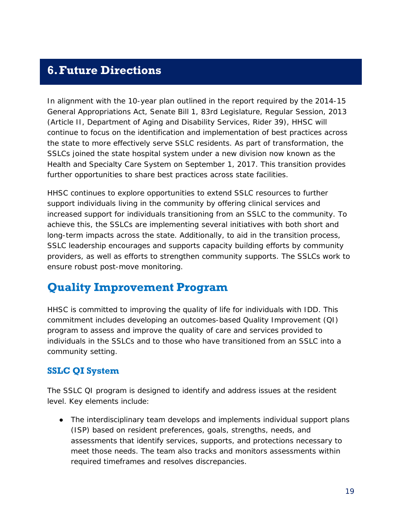### <span id="page-20-0"></span>**6.Future Directions**

In alignment with the 10-year plan outlined in the report required by the 2014-15 General Appropriations Act, Senate Bill 1, 83rd Legislature, Regular Session, 2013 (Article II, Department of Aging and Disability Services, Rider 39), HHSC will continue to focus on the identification and implementation of best practices across the state to more effectively serve SSLC residents. As part of transformation, the SSLCs joined the state hospital system under a new division now known as the Health and Specialty Care System on September 1, 2017. This transition provides further opportunities to share best practices across state facilities.

HHSC continues to explore opportunities to extend SSLC resources to further support individuals living in the community by offering clinical services and increased support for individuals transitioning from an SSLC to the community. To achieve this, the SSLCs are implementing several initiatives with both short and long-term impacts across the state. Additionally, to aid in the transition process, SSLC leadership encourages and supports capacity building efforts by community providers, as well as efforts to strengthen community supports. The SSLCs work to ensure robust post-move monitoring.

## <span id="page-20-1"></span>**Quality Improvement Program**

HHSC is committed to improving the quality of life for individuals with IDD. This commitment includes developing an outcomes-based Quality Improvement (QI) program to assess and improve the quality of care and services provided to individuals in the SSLCs and to those who have transitioned from an SSLC into a community setting.

#### **SSLC QI System**

The SSLC QI program is designed to identify and address issues at the resident level. Key elements include:

• The interdisciplinary team develops and implements individual support plans (ISP) based on resident preferences, goals, strengths, needs, and assessments that identify services, supports, and protections necessary to meet those needs. The team also tracks and monitors assessments within required timeframes and resolves discrepancies.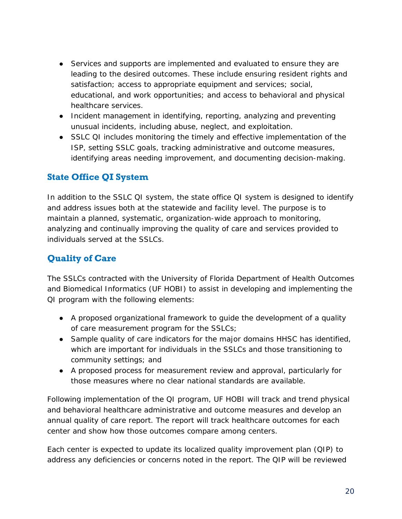- Services and supports are implemented and evaluated to ensure they are leading to the desired outcomes. These include ensuring resident rights and satisfaction; access to appropriate equipment and services; social, educational, and work opportunities; and access to behavioral and physical healthcare services.
- Incident management in identifying, reporting, analyzing and preventing unusual incidents, including abuse, neglect, and exploitation.
- SSLC QI includes monitoring the timely and effective implementation of the ISP, setting SSLC goals, tracking administrative and outcome measures, identifying areas needing improvement, and documenting decision-making.

#### **State Office QI System**

In addition to the SSLC QI system, the state office QI system is designed to identify and address issues both at the statewide and facility level. The purpose is to maintain a planned, systematic, organization-wide approach to monitoring, analyzing and continually improving the quality of care and services provided to individuals served at the SSLCs.

#### **Quality of Care**

The SSLCs contracted with the University of Florida Department of Health Outcomes and Biomedical Informatics (UF HOBI) to assist in developing and implementing the QI program with the following elements:

- A proposed organizational framework to guide the development of a quality of care measurement program for the SSLCs;
- Sample quality of care indicators for the major domains HHSC has identified, which are important for individuals in the SSLCs and those transitioning to community settings; and
- A proposed process for measurement review and approval, particularly for those measures where no clear national standards are available.

Following implementation of the QI program, UF HOBI will track and trend physical and behavioral healthcare administrative and outcome measures and develop an annual quality of care report. The report will track healthcare outcomes for each center and show how those outcomes compare among centers.

Each center is expected to update its localized quality improvement plan (QIP) to address any deficiencies or concerns noted in the report. The QIP will be reviewed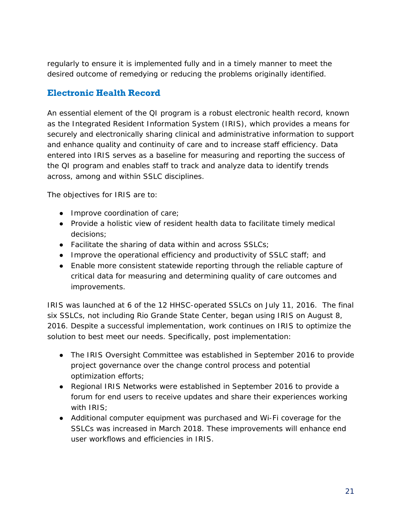regularly to ensure it is implemented fully and in a timely manner to meet the desired outcome of remedying or reducing the problems originally identified.

#### **Electronic Health Record**

An essential element of the QI program is a robust electronic health record, known as the Integrated Resident Information System (IRIS), which provides a means for securely and electronically sharing clinical and administrative information to support and enhance quality and continuity of care and to increase staff efficiency. Data entered into IRIS serves as a baseline for measuring and reporting the success of the QI program and enables staff to track and analyze data to identify trends across, among and within SSLC disciplines.

The objectives for IRIS are to:

- Improve coordination of care;
- Provide a holistic view of resident health data to facilitate timely medical decisions;
- Facilitate the sharing of data within and across SSLCs;
- Improve the operational efficiency and productivity of SSLC staff; and
- Enable more consistent statewide reporting through the reliable capture of critical data for measuring and determining quality of care outcomes and improvements.

IRIS was launched at 6 of the 12 HHSC-operated SSLCs on July 11, 2016. The final six SSLCs, not including Rio Grande State Center, began using IRIS on August 8, 2016. Despite a successful implementation, work continues on IRIS to optimize the solution to best meet our needs. Specifically, post implementation:

- The IRIS Oversight Committee was established in September 2016 to provide project governance over the change control process and potential optimization efforts;
- Regional IRIS Networks were established in September 2016 to provide a forum for end users to receive updates and share their experiences working with IRIS;
- Additional computer equipment was purchased and Wi-Fi coverage for the SSLCs was increased in March 2018. These improvements will enhance end user workflows and efficiencies in IRIS.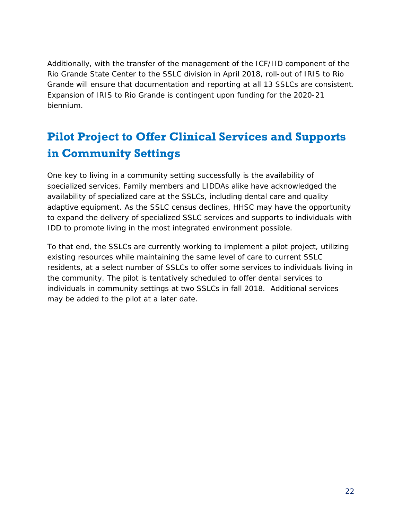Additionally, with the transfer of the management of the ICF/IID component of the Rio Grande State Center to the SSLC division in April 2018, roll-out of IRIS to Rio Grande will ensure that documentation and reporting at all 13 SSLCs are consistent. Expansion of IRIS to Rio Grande is contingent upon funding for the 2020-21 biennium.

# <span id="page-23-0"></span>**Pilot Project to Offer Clinical Services and Supports in Community Settings**

One key to living in a community setting successfully is the availability of specialized services. Family members and LIDDAs alike have acknowledged the availability of specialized care at the SSLCs, including dental care and quality adaptive equipment. As the SSLC census declines, HHSC may have the opportunity to expand the delivery of specialized SSLC services and supports to individuals with IDD to promote living in the most integrated environment possible.

To that end, the SSLCs are currently working to implement a pilot project, utilizing existing resources while maintaining the same level of care to current SSLC residents, at a select number of SSLCs to offer some services to individuals living in the community. The pilot is tentatively scheduled to offer dental services to individuals in community settings at two SSLCs in fall 2018. Additional services may be added to the pilot at a later date.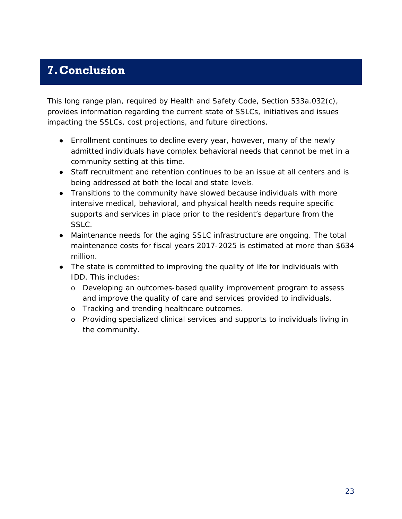## <span id="page-24-0"></span>**7.Conclusion**

This long range plan, required by Health and Safety Code, Section 533a.032(c), provides information regarding the current state of SSLCs, initiatives and issues impacting the SSLCs, cost projections, and future directions.

- Enrollment continues to decline every year, however, many of the newly admitted individuals have complex behavioral needs that cannot be met in a community setting at this time.
- Staff recruitment and retention continues to be an issue at all centers and is being addressed at both the local and state levels.
- Transitions to the community have slowed because individuals with more intensive medical, behavioral, and physical health needs require specific supports and services in place prior to the resident's departure from the SSLC.
- Maintenance needs for the aging SSLC infrastructure are ongoing. The total maintenance costs for fiscal years 2017-2025 is estimated at more than \$634 million.
- The state is committed to improving the quality of life for individuals with IDD. This includes:
	- o Developing an outcomes-based quality improvement program to assess and improve the quality of care and services provided to individuals.
	- o Tracking and trending healthcare outcomes.
	- o Providing specialized clinical services and supports to individuals living in the community.